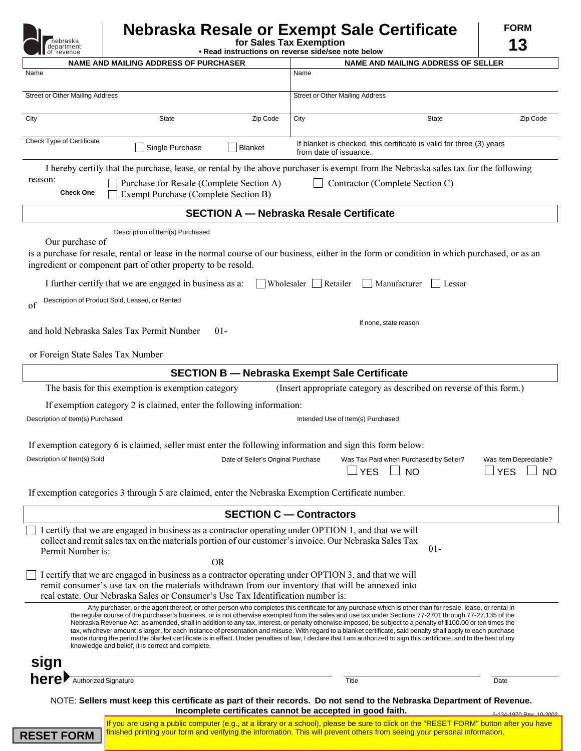|                                       | Nebraska Resale or Exempt Sale Certificate                                    | <b>FORM</b> |
|---------------------------------------|-------------------------------------------------------------------------------|-------------|
| Tnebraska<br>department<br>of revenue | for Sales Tax Exemption<br>• Read instructions on reverse side/see note below | 12          |
|                                       |                                                                               |             |

| <b>Til</b> of revenue<br>• Read instructions on reverse side/see note below<br><b>NAME AND MAILING ADDRESS OF PURCHASER</b>                                                                                                                                                                 | <b>NAME AND MAILING ADDRESS OF SELLER</b>                                                                                                                                                                                                                                                                                                                                                                                                                                                                                                                                                                                                                                                                                                                                                                                    |  |  |
|---------------------------------------------------------------------------------------------------------------------------------------------------------------------------------------------------------------------------------------------------------------------------------------------|------------------------------------------------------------------------------------------------------------------------------------------------------------------------------------------------------------------------------------------------------------------------------------------------------------------------------------------------------------------------------------------------------------------------------------------------------------------------------------------------------------------------------------------------------------------------------------------------------------------------------------------------------------------------------------------------------------------------------------------------------------------------------------------------------------------------------|--|--|
| Name                                                                                                                                                                                                                                                                                        | Name                                                                                                                                                                                                                                                                                                                                                                                                                                                                                                                                                                                                                                                                                                                                                                                                                         |  |  |
| Street or Other Mailing Address                                                                                                                                                                                                                                                             | <b>Street or Other Mailing Address</b>                                                                                                                                                                                                                                                                                                                                                                                                                                                                                                                                                                                                                                                                                                                                                                                       |  |  |
| City<br>Zip Code<br><b>State</b>                                                                                                                                                                                                                                                            | City<br><b>State</b><br>Zip Code                                                                                                                                                                                                                                                                                                                                                                                                                                                                                                                                                                                                                                                                                                                                                                                             |  |  |
| Check Type of Certificate<br>If blanket is checked, this certificate is valid for three (3) years<br>Single Purchase<br><b>Blanket</b><br>from date of issuance.                                                                                                                            |                                                                                                                                                                                                                                                                                                                                                                                                                                                                                                                                                                                                                                                                                                                                                                                                                              |  |  |
| I hereby certify that the purchase, lease, or rental by the above purchaser is exempt from the Nebraska sales tax for the following                                                                                                                                                         |                                                                                                                                                                                                                                                                                                                                                                                                                                                                                                                                                                                                                                                                                                                                                                                                                              |  |  |
| reason:<br>Purchase for Resale (Complete Section A)<br>Contractor (Complete Section C)<br><b>Check One</b><br>Exempt Purchase (Complete Section B)                                                                                                                                          |                                                                                                                                                                                                                                                                                                                                                                                                                                                                                                                                                                                                                                                                                                                                                                                                                              |  |  |
|                                                                                                                                                                                                                                                                                             | <b>SECTION A - Nebraska Resale Certificate</b>                                                                                                                                                                                                                                                                                                                                                                                                                                                                                                                                                                                                                                                                                                                                                                               |  |  |
| Description of Item(s) Purchased                                                                                                                                                                                                                                                            |                                                                                                                                                                                                                                                                                                                                                                                                                                                                                                                                                                                                                                                                                                                                                                                                                              |  |  |
| Our purchase of<br>is a purchase for resale, rental or lease in the normal course of our business, either in the form or condition in which purchased, or as an<br>ingredient or component part of other property to be resold.                                                             |                                                                                                                                                                                                                                                                                                                                                                                                                                                                                                                                                                                                                                                                                                                                                                                                                              |  |  |
| I further certify that we are engaged in business as a:<br>Wholesaler<br>Retailer<br>Manufacturer<br>Lessor                                                                                                                                                                                 |                                                                                                                                                                                                                                                                                                                                                                                                                                                                                                                                                                                                                                                                                                                                                                                                                              |  |  |
| Description of Product Sold, Leased, or Rented<br>of                                                                                                                                                                                                                                        |                                                                                                                                                                                                                                                                                                                                                                                                                                                                                                                                                                                                                                                                                                                                                                                                                              |  |  |
| and hold Nebraska Sales Tax Permit Number<br>$01 -$                                                                                                                                                                                                                                         | If none, state reason                                                                                                                                                                                                                                                                                                                                                                                                                                                                                                                                                                                                                                                                                                                                                                                                        |  |  |
| or Foreign State Sales Tax Number                                                                                                                                                                                                                                                           |                                                                                                                                                                                                                                                                                                                                                                                                                                                                                                                                                                                                                                                                                                                                                                                                                              |  |  |
|                                                                                                                                                                                                                                                                                             | <b>SECTION B - Nebraska Exempt Sale Certificate</b>                                                                                                                                                                                                                                                                                                                                                                                                                                                                                                                                                                                                                                                                                                                                                                          |  |  |
| (Insert appropriate category as described on reverse of this form.)<br>The basis for this exemption is exemption category                                                                                                                                                                   |                                                                                                                                                                                                                                                                                                                                                                                                                                                                                                                                                                                                                                                                                                                                                                                                                              |  |  |
| If exemption category 2 is claimed, enter the following information:                                                                                                                                                                                                                        |                                                                                                                                                                                                                                                                                                                                                                                                                                                                                                                                                                                                                                                                                                                                                                                                                              |  |  |
| Description of Item(s) Purchased                                                                                                                                                                                                                                                            | Intended Use of Item(s) Purchased                                                                                                                                                                                                                                                                                                                                                                                                                                                                                                                                                                                                                                                                                                                                                                                            |  |  |
| If exemption category 6 is claimed, seller must enter the following information and sign this form below:                                                                                                                                                                                   |                                                                                                                                                                                                                                                                                                                                                                                                                                                                                                                                                                                                                                                                                                                                                                                                                              |  |  |
| Description of Item(s) Sold<br>Date of Seller's Original Purchase                                                                                                                                                                                                                           | Was Tax Paid when Purchased by Seller?<br>Was Item Depreciable?<br><b>YES</b><br><b>NO</b><br><b>YES</b><br><b>NO</b>                                                                                                                                                                                                                                                                                                                                                                                                                                                                                                                                                                                                                                                                                                        |  |  |
| If exemption categories 3 through 5 are claimed, enter the Nebraska Exemption Certificate number.                                                                                                                                                                                           |                                                                                                                                                                                                                                                                                                                                                                                                                                                                                                                                                                                                                                                                                                                                                                                                                              |  |  |
|                                                                                                                                                                                                                                                                                             | <b>SECTION C - Contractors</b>                                                                                                                                                                                                                                                                                                                                                                                                                                                                                                                                                                                                                                                                                                                                                                                               |  |  |
| I certify that we are engaged in business as a contractor operating under OPTION 1, and that we will<br>collect and remit sales tax on the materials portion of our customer's invoice. Our Nebraska Sales Tax<br>$01 -$<br>Permit Number is:                                               |                                                                                                                                                                                                                                                                                                                                                                                                                                                                                                                                                                                                                                                                                                                                                                                                                              |  |  |
| <b>OR</b>                                                                                                                                                                                                                                                                                   |                                                                                                                                                                                                                                                                                                                                                                                                                                                                                                                                                                                                                                                                                                                                                                                                                              |  |  |
| I certify that we are engaged in business as a contractor operating under OPTION 3, and that we will<br>remit consumer's use tax on the materials withdrawn from our inventory that will be annexed into<br>real estate. Our Nebraska Sales or Consumer's Use Tax Identification number is: |                                                                                                                                                                                                                                                                                                                                                                                                                                                                                                                                                                                                                                                                                                                                                                                                                              |  |  |
| knowledge and belief, it is correct and complete.                                                                                                                                                                                                                                           | Any purchaser, or the agent thereof, or other person who completes this certificate for any purchase which is other than for resale, lease, or rental in<br>the regular course of the purchaser's business, or is not otherwise exempted from the sales and use tax under Sections 77-2701 through 77-27,135 of the<br>Nebraska Revenue Act, as amended, shall in addition to any tax, interest, or penalty otherwise imposed, be subject to a penalty of \$100.00 or ten times the<br>tax, whichever amount is larger, for each instance of presentation and misuse. With regard to a blanket certificate, said penalty shall apply to each purchase<br>made during the period the blanket certificate is in effect. Under penalties of law, I declare that I am authorized to sign this certificate, and to the best of my |  |  |
| sign                                                                                                                                                                                                                                                                                        |                                                                                                                                                                                                                                                                                                                                                                                                                                                                                                                                                                                                                                                                                                                                                                                                                              |  |  |
| here Muthorized Signature                                                                                                                                                                                                                                                                   | Title<br>Date                                                                                                                                                                                                                                                                                                                                                                                                                                                                                                                                                                                                                                                                                                                                                                                                                |  |  |
| NOTE: Sellers must keep this certificate as part of their records. Do not send to the Nebraska Department of Revenue.<br>Incomplete certificates cannot be accepted in good faith.<br>124-1070 Rev 10-200                                                                                   |                                                                                                                                                                                                                                                                                                                                                                                                                                                                                                                                                                                                                                                                                                                                                                                                                              |  |  |

6-134-1970 Rev. 10-2002 If you are using a public computer (e.g., at a library or a school), please be sure to click on the "RESET FORM" button after you have **RESET FORM** finished printing your form and verifying the information. This will prevent others from seeing your personal information.